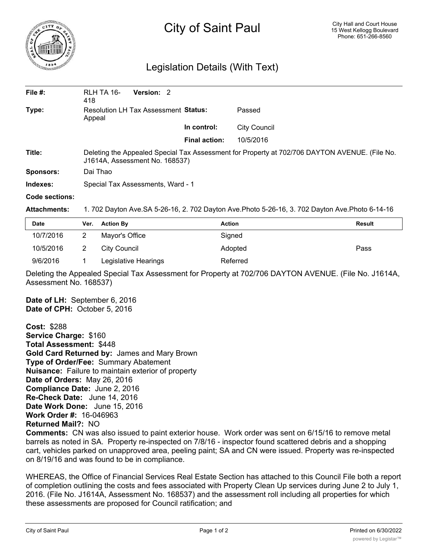

## City of Saint Paul

## Legislation Details (With Text)

| File $#$ : | Version: 2<br>RLH TA 16-<br>418                                                                                                 |                      |              |  |  |
|------------|---------------------------------------------------------------------------------------------------------------------------------|----------------------|--------------|--|--|
| Type:      | Resolution LH Tax Assessment Status:<br>Appeal                                                                                  |                      | Passed       |  |  |
|            |                                                                                                                                 | In control:          | City Council |  |  |
|            |                                                                                                                                 | <b>Final action:</b> | 10/5/2016    |  |  |
| Title:     | Deleting the Appealed Special Tax Assessment for Property at 702/706 DAYTON AVENUE. (File No.<br>J1614A, Assessment No. 168537) |                      |              |  |  |
| Sponsors:  | Dai Thao                                                                                                                        |                      |              |  |  |
| Indexes:   | Special Tax Assessments, Ward - 1                                                                                               |                      |              |  |  |
|            |                                                                                                                                 |                      |              |  |  |

## **Code sections:**

**Attachments:** 1. 702 Dayton Ave.SA 5-26-16, 2. 702 Dayton Ave.Photo 5-26-16, 3. 702 Dayton Ave.Photo 6-14-16

| <b>Date</b> | Ver. | <b>Action By</b>     | <b>Action</b> | Result |
|-------------|------|----------------------|---------------|--------|
| 10/7/2016   | 2    | Mayor's Office       | Signed        |        |
| 10/5/2016   |      | City Council         | Adopted       | Pass   |
| 9/6/2016    |      | Legislative Hearings | Referred      |        |

Deleting the Appealed Special Tax Assessment for Property at 702/706 DAYTON AVENUE. (File No. J1614A, Assessment No. 168537)

**Date of LH:** September 6, 2016 **Date of CPH:** October 5, 2016

**Cost:** \$288 **Service Charge:** \$160 **Total Assessment:** \$448 **Gold Card Returned by:** James and Mary Brown **Type of Order/Fee:** Summary Abatement **Nuisance:** Failure to maintain exterior of property **Date of Orders:** May 26, 2016 **Compliance Date:** June 2, 2016 **Re-Check Date:** June 14, 2016 **Date Work Done:** June 15, 2016 **Work Order #:** 16-046963 **Returned Mail?:** NO

**Comments:** CN was also issued to paint exterior house. Work order was sent on 6/15/16 to remove metal barrels as noted in SA. Property re-inspected on 7/8/16 - inspector found scattered debris and a shopping cart, vehicles parked on unapproved area, peeling paint; SA and CN were issued. Property was re-inspected on 8/19/16 and was found to be in compliance.

WHEREAS, the Office of Financial Services Real Estate Section has attached to this Council File both a report of completion outlining the costs and fees associated with Property Clean Up services during June 2 to July 1, 2016. (File No. J1614A, Assessment No. 168537) and the assessment roll including all properties for which these assessments are proposed for Council ratification; and